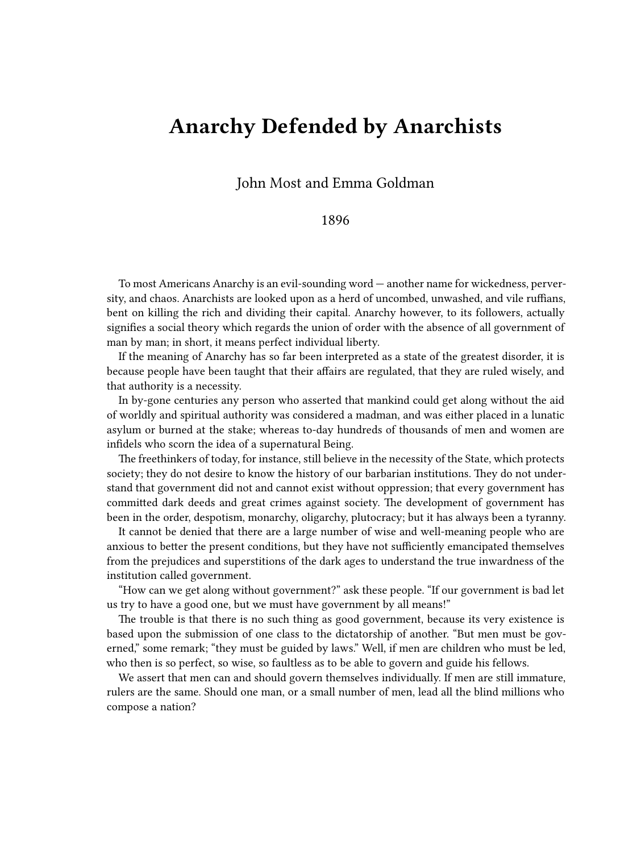## **Anarchy Defended by Anarchists**

John Most and Emma Goldman

## 1896

To most Americans Anarchy is an evil-sounding word — another name for wickedness, perversity, and chaos. Anarchists are looked upon as a herd of uncombed, unwashed, and vile ruffians, bent on killing the rich and dividing their capital. Anarchy however, to its followers, actually signifies a social theory which regards the union of order with the absence of all government of man by man; in short, it means perfect individual liberty.

If the meaning of Anarchy has so far been interpreted as a state of the greatest disorder, it is because people have been taught that their affairs are regulated, that they are ruled wisely, and that authority is a necessity.

In by-gone centuries any person who asserted that mankind could get along without the aid of worldly and spiritual authority was considered a madman, and was either placed in a lunatic asylum or burned at the stake; whereas to-day hundreds of thousands of men and women are infidels who scorn the idea of a supernatural Being.

The freethinkers of today, for instance, still believe in the necessity of the State, which protects society; they do not desire to know the history of our barbarian institutions. They do not understand that government did not and cannot exist without oppression; that every government has committed dark deeds and great crimes against society. The development of government has been in the order, despotism, monarchy, oligarchy, plutocracy; but it has always been a tyranny.

It cannot be denied that there are a large number of wise and well-meaning people who are anxious to better the present conditions, but they have not sufficiently emancipated themselves from the prejudices and superstitions of the dark ages to understand the true inwardness of the institution called government.

"How can we get along without government?" ask these people. "If our government is bad let us try to have a good one, but we must have government by all means!"

The trouble is that there is no such thing as good government, because its very existence is based upon the submission of one class to the dictatorship of another. "But men must be governed," some remark; "they must be guided by laws." Well, if men are children who must be led, who then is so perfect, so wise, so faultless as to be able to govern and guide his fellows.

We assert that men can and should govern themselves individually. If men are still immature, rulers are the same. Should one man, or a small number of men, lead all the blind millions who compose a nation?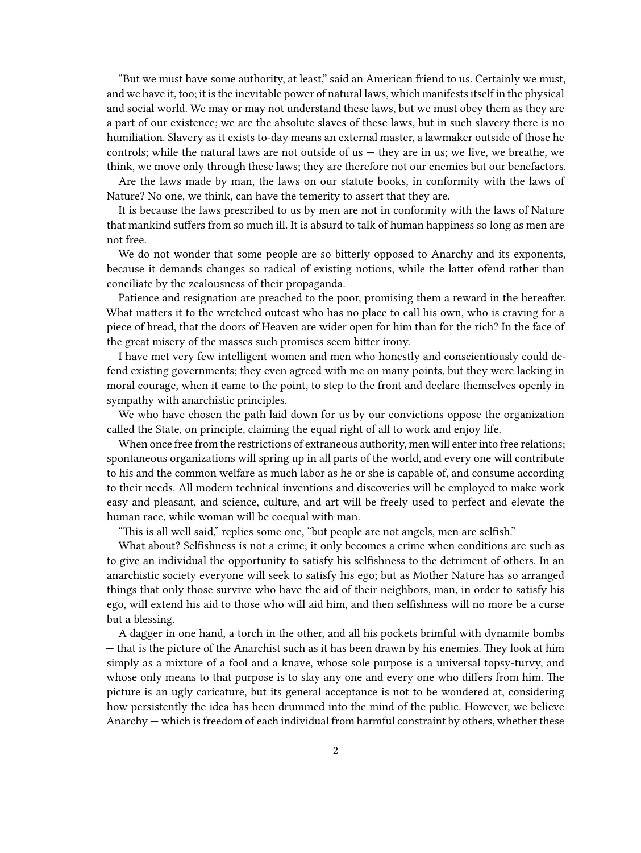"But we must have some authority, at least," said an American friend to us. Certainly we must, and we have it, too; it is the inevitable power of natural laws, which manifests itself in the physical and social world. We may or may not understand these laws, but we must obey them as they are a part of our existence; we are the absolute slaves of these laws, but in such slavery there is no humiliation. Slavery as it exists to-day means an external master, a lawmaker outside of those he controls; while the natural laws are not outside of us  $-$  they are in us; we live, we breathe, we think, we move only through these laws; they are therefore not our enemies but our benefactors.

Are the laws made by man, the laws on our statute books, in conformity with the laws of Nature? No one, we think, can have the temerity to assert that they are.

It is because the laws prescribed to us by men are not in conformity with the laws of Nature that mankind suffers from so much ill. It is absurd to talk of human happiness so long as men are not free.

We do not wonder that some people are so bitterly opposed to Anarchy and its exponents, because it demands changes so radical of existing notions, while the latter ofend rather than conciliate by the zealousness of their propaganda.

Patience and resignation are preached to the poor, promising them a reward in the hereafter. What matters it to the wretched outcast who has no place to call his own, who is craving for a piece of bread, that the doors of Heaven are wider open for him than for the rich? In the face of the great misery of the masses such promises seem bitter irony.

I have met very few intelligent women and men who honestly and conscientiously could defend existing governments; they even agreed with me on many points, but they were lacking in moral courage, when it came to the point, to step to the front and declare themselves openly in sympathy with anarchistic principles.

We who have chosen the path laid down for us by our convictions oppose the organization called the State, on principle, claiming the equal right of all to work and enjoy life.

When once free from the restrictions of extraneous authority, men will enter into free relations; spontaneous organizations will spring up in all parts of the world, and every one will contribute to his and the common welfare as much labor as he or she is capable of, and consume according to their needs. All modern technical inventions and discoveries will be employed to make work easy and pleasant, and science, culture, and art will be freely used to perfect and elevate the human race, while woman will be coequal with man.

"This is all well said," replies some one, "but people are not angels, men are selfish."

What about? Selfishness is not a crime; it only becomes a crime when conditions are such as to give an individual the opportunity to satisfy his selfishness to the detriment of others. In an anarchistic society everyone will seek to satisfy his ego; but as Mother Nature has so arranged things that only those survive who have the aid of their neighbors, man, in order to satisfy his ego, will extend his aid to those who will aid him, and then selfishness will no more be a curse but a blessing.

A dagger in one hand, a torch in the other, and all his pockets brimful with dynamite bombs — that is the picture of the Anarchist such as it has been drawn by his enemies. They look at him simply as a mixture of a fool and a knave, whose sole purpose is a universal topsy-turvy, and whose only means to that purpose is to slay any one and every one who differs from him. The picture is an ugly caricature, but its general acceptance is not to be wondered at, considering how persistently the idea has been drummed into the mind of the public. However, we believe Anarchy — which is freedom of each individual from harmful constraint by others, whether these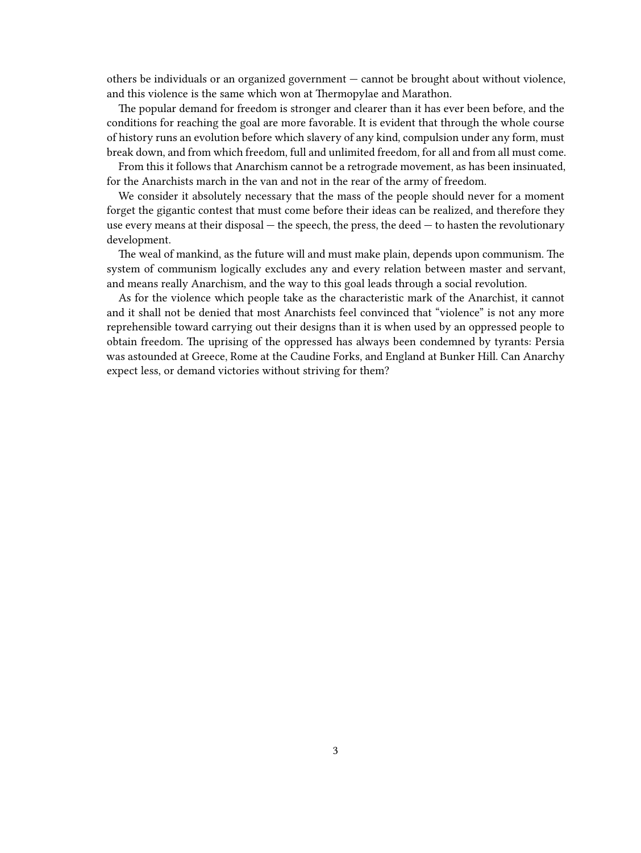others be individuals or an organized government — cannot be brought about without violence, and this violence is the same which won at Thermopylae and Marathon.

The popular demand for freedom is stronger and clearer than it has ever been before, and the conditions for reaching the goal are more favorable. It is evident that through the whole course of history runs an evolution before which slavery of any kind, compulsion under any form, must break down, and from which freedom, full and unlimited freedom, for all and from all must come.

From this it follows that Anarchism cannot be a retrograde movement, as has been insinuated, for the Anarchists march in the van and not in the rear of the army of freedom.

We consider it absolutely necessary that the mass of the people should never for a moment forget the gigantic contest that must come before their ideas can be realized, and therefore they use every means at their disposal  $-$  the speech, the press, the deed  $-$  to hasten the revolutionary development.

The weal of mankind, as the future will and must make plain, depends upon communism. The system of communism logically excludes any and every relation between master and servant, and means really Anarchism, and the way to this goal leads through a social revolution.

As for the violence which people take as the characteristic mark of the Anarchist, it cannot and it shall not be denied that most Anarchists feel convinced that "violence" is not any more reprehensible toward carrying out their designs than it is when used by an oppressed people to obtain freedom. The uprising of the oppressed has always been condemned by tyrants: Persia was astounded at Greece, Rome at the Caudine Forks, and England at Bunker Hill. Can Anarchy expect less, or demand victories without striving for them?